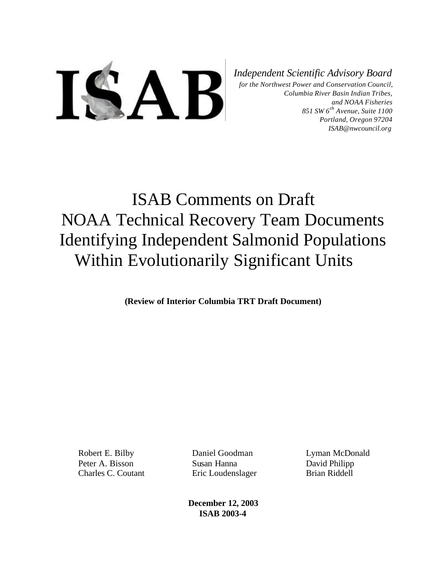

*Independent Scientific Advisory Board*

*for the Northwest Power and Conservation Council, Columbia River Basin Indian Tribes, and NOAA Fisheries 851 SW 6th Avenue, Suite 1100 Portland, Oregon 97204 ISAB@nwcouncil.org*

# ISAB Comments on Draft NOAA Technical Recovery Team Documents Identifying Independent Salmonid Populations Within Evolutionarily Significant Units

**(Review of Interior Columbia TRT Draft Document)**

Robert E. Bilby Peter A. Bisson Charles C. Coutant

Daniel Goodman Susan Hanna Eric Loudenslager Lyman McDonald David Philipp Brian Riddell

**December 12, 2003 ISAB 2003-4**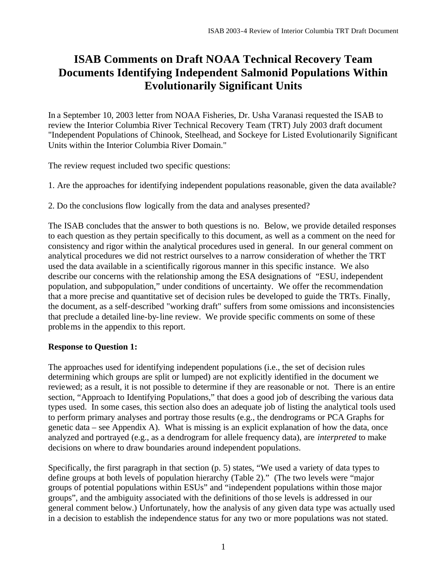# **ISAB Comments on Draft NOAA Technical Recovery Team Documents Identifying Independent Salmonid Populations Within Evolutionarily Significant Units**

In a September 10, 2003 letter from NOAA Fisheries, Dr. Usha Varanasi requested the ISAB to review the Interior Columbia River Technical Recovery Team (TRT) July 2003 draft document "Independent Populations of Chinook, Steelhead, and Sockeye for Listed Evolutionarily Significant Units within the Interior Columbia River Domain."

The review request included two specific questions:

1. Are the approaches for identifying independent populations reasonable, given the data available?

2. Do the conclusions flow logically from the data and analyses presented?

The ISAB concludes that the answer to both questions is no. Below, we provide detailed responses to each question as they pertain specifically to this document, as well as a comment on the need for consistency and rigor within the analytical procedures used in general. In our general comment on analytical procedures we did not restrict ourselves to a narrow consideration of whether the TRT used the data available in a scientifically rigorous manner in this specific instance. We also describe our concerns with the relationship among the ESA designations of "ESU, independent population, and subpopulation," under conditions of uncertainty. We offer the recommendation that a more precise and quantitative set of decision rules be developed to guide the TRTs. Finally, the document, as a self-described "working draft" suffers from some omissions and inconsistencies that preclude a detailed line-by-line review. We provide specific comments on some of these problems in the appendix to this report.

# **Response to Question 1:**

The approaches used for identifying independent populations (i.e., the set of decision rules determining which groups are split or lumped) are not explicitly identified in the document we reviewed; as a result, it is not possible to determine if they are reasonable or not. There is an entire section, "Approach to Identifying Populations," that does a good job of describing the various data types used. In some cases, this section also does an adequate job of listing the analytical tools used to perform primary analyses and portray those results (e.g., the dendrograms or PCA Graphs for genetic data – see Appendix A). What is missing is an explicit explanation of how the data, once analyzed and portrayed (e.g., as a dendrogram for allele frequency data), are *interpreted* to make decisions on where to draw boundaries around independent populations.

Specifically, the first paragraph in that section (p. 5) states, "We used a variety of data types to define groups at both levels of population hierarchy (Table 2)." (The two levels were "major groups of potential populations within ESUs" and "independent populations within those major groups", and the ambiguity associated with the definitions of those levels is addressed in our general comment below.) Unfortunately, how the analysis of any given data type was actually used in a decision to establish the independence status for any two or more populations was not stated.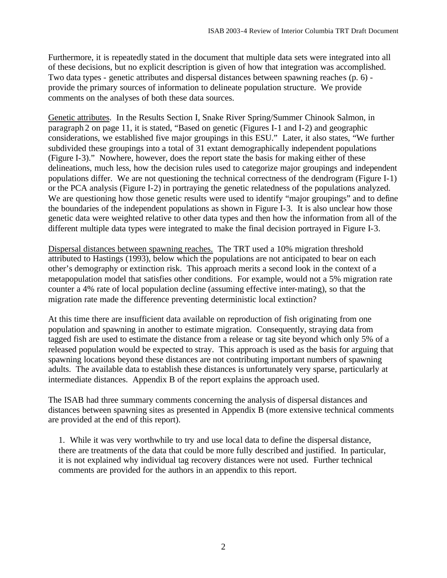Furthermore, it is repeatedly stated in the document that multiple data sets were integrated into all of these decisions, but no explicit description is given of how that integration was accomplished. Two data types - genetic attributes and dispersal distances between spawning reaches (p. 6) provide the primary sources of information to delineate population structure. We provide comments on the analyses of both these data sources.

Genetic attributes. In the Results Section I, Snake River Spring/Summer Chinook Salmon, in paragraph 2 on page 11, it is stated, "Based on genetic (Figures I-1 and I-2) and geographic considerations, we established five major groupings in this ESU." Later, it also states, "We further subdivided these groupings into a total of 31 extant demographically independent populations (Figure I-3)." Nowhere, however, does the report state the basis for making either of these delineations, much less, how the decision rules used to categorize major groupings and independent populations differ. We are not questioning the technical correctness of the dendrogram (Figure I-1) or the PCA analysis (Figure I-2) in portraying the genetic relatedness of the populations analyzed. We are questioning how those genetic results were used to identify "major groupings" and to define the boundaries of the independent populations as shown in Figure I-3. It is also unclear how those genetic data were weighted relative to other data types and then how the information from all of the different multiple data types were integrated to make the final decision portrayed in Figure I-3.

Dispersal distances between spawning reaches. The TRT used a 10% migration threshold attributed to Hastings (1993), below which the populations are not anticipated to bear on each other's demography or extinction risk. This approach merits a second look in the context of a metapopulation model that satisfies other conditions. For example, would not a 5% migration rate counter a 4% rate of local population decline (assuming effective inter-mating), so that the migration rate made the difference preventing deterministic local extinction?

At this time there are insufficient data available on reproduction of fish originating from one population and spawning in another to estimate migration. Consequently, straying data from tagged fish are used to estimate the distance from a release or tag site beyond which only 5% of a released population would be expected to stray. This approach is used as the basis for arguing that spawning locations beyond these distances are not contributing important numbers of spawning adults. The available data to establish these distances is unfortunately very sparse, particularly at intermediate distances. Appendix B of the report explains the approach used.

The ISAB had three summary comments concerning the analysis of dispersal distances and distances between spawning sites as presented in Appendix B (more extensive technical comments are provided at the end of this report).

1. While it was very worthwhile to try and use local data to define the dispersal distance, there are treatments of the data that could be more fully described and justified. In particular, it is not explained why individual tag recovery distances were not used. Further technical comments are provided for the authors in an appendix to this report.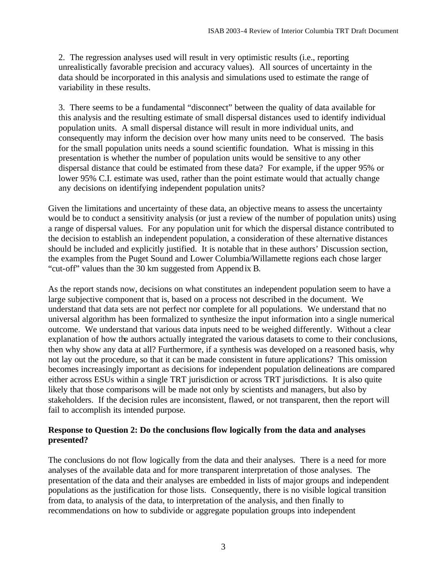2. The regression analyses used will result in very optimistic results (i.e., reporting unrealistically favorable precision and accuracy values). All sources of uncertainty in the data should be incorporated in this analysis and simulations used to estimate the range of variability in these results.

3. There seems to be a fundamental "disconnect" between the quality of data available for this analysis and the resulting estimate of small dispersal distances used to identify individual population units. A small dispersal distance will result in more individual units, and consequently may inform the decision over how many units need to be conserved. The basis for the small population units needs a sound scientific foundation. What is missing in this presentation is whether the number of population units would be sensitive to any other dispersal distance that could be estimated from these data? For example, if the upper 95% or lower 95% C.I. estimate was used, rather than the point estimate would that actually change any decisions on identifying independent population units?

Given the limitations and uncertainty of these data, an objective means to assess the uncertainty would be to conduct a sensitivity analysis (or just a review of the number of population units) using a range of dispersal values. For any population unit for which the dispersal distance contributed to the decision to establish an independent population, a consideration of these alternative distances should be included and explicitly justified. It is notable that in these authors' Discussion section, the examples from the Puget Sound and Lower Columbia/Willamette regions each chose larger "cut-off" values than the 30 km suggested from Appendix B.

As the report stands now, decisions on what constitutes an independent population seem to have a large subjective component that is, based on a process not described in the document. We understand that data sets are not perfect nor complete for all populations. We understand that no universal algorithm has been formalized to synthesize the input information into a single numerical outcome. We understand that various data inputs need to be weighed differently. Without a clear explanation of how the authors actually integrated the various datasets to come to their conclusions, then why show any data at all? Furthermore, if a synthesis was developed on a reasoned basis, why not lay out the procedure, so that it can be made consistent in future applications? This omission becomes increasingly important as decisions for independent population delineations are compared either across ESUs within a single TRT jurisdiction or across TRT jurisdictions. It is also quite likely that those comparisons will be made not only by scientists and managers, but also by stakeholders. If the decision rules are inconsistent, flawed, or not transparent, then the report will fail to accomplish its intended purpose.

#### **Response to Question 2: Do the conclusions flow logically from the data and analyses presented?**

The conclusions do not flow logically from the data and their analyses. There is a need for more analyses of the available data and for more transparent interpretation of those analyses. The presentation of the data and their analyses are embedded in lists of major groups and independent populations as the justification for those lists. Consequently, there is no visible logical transition from data, to analysis of the data, to interpretation of the analysis, and then finally to recommendations on how to subdivide or aggregate population groups into independent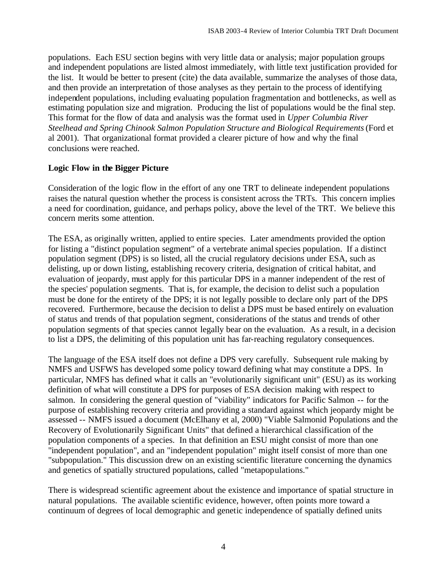populations. Each ESU section begins with very little data or analysis; major population groups and independent populations are listed almost immediately, with little text justification provided for the list. It would be better to present (cite) the data available, summarize the analyses of those data, and then provide an interpretation of those analyses as they pertain to the process of identifying independent populations, including evaluating population fragmentation and bottlenecks, as well as estimating population size and migration. Producing the list of populations would be the final step. This format for the flow of data and analysis was the format used in *Upper Columbia River Steelhead and Spring Chinook Salmon Population Structure and Biological Requirements* (Ford et al 2001). That organizational format provided a clearer picture of how and why the final conclusions were reached.

# **Logic Flow in the Bigger Picture**

Consideration of the logic flow in the effort of any one TRT to delineate independent populations raises the natural question whether the process is consistent across the TRTs. This concern implies a need for coordination, guidance, and perhaps policy, above the level of the TRT. We believe this concern merits some attention.

The ESA, as originally written, applied to entire species. Later amendments provided the option for listing a "distinct population segment" of a vertebrate animal species population. If a distinct population segment (DPS) is so listed, all the crucial regulatory decisions under ESA, such as delisting, up or down listing, establishing recovery criteria, designation of critical habitat, and evaluation of jeopardy, must apply for this particular DPS in a manner independent of the rest of the species' population segments. That is, for example, the decision to delist such a population must be done for the entirety of the DPS; it is not legally possible to declare only part of the DPS recovered. Furthermore, because the decision to delist a DPS must be based entirely on evaluation of status and trends of that population segment, considerations of the status and trends of other population segments of that species cannot legally bear on the evaluation. As a result, in a decision to list a DPS, the delimiting of this population unit has far-reaching regulatory consequences.

The language of the ESA itself does not define a DPS very carefully. Subsequent rule making by NMFS and USFWS has developed some policy toward defining what may constitute a DPS. In particular, NMFS has defined what it calls an "evolutionarily significant unit" (ESU) as its working definition of what will constitute a DPS for purposes of ESA decision making with respect to salmon. In considering the general question of "viability" indicators for Pacific Salmon -- for the purpose of establishing recovery criteria and providing a standard against which jeopardy might be assessed -- NMFS issued a document (McElhany et al, 2000) "Viable Salmonid Populations and the Recovery of Evolutionarily Significant Units" that defined a hierarchical classification of the population components of a species. In that definition an ESU might consist of more than one "independent population", and an "independent population" might itself consist of more than one "subpopulation." This discussion drew on an existing scientific literature concerning the dynamics and genetics of spatially structured populations, called "metapopulations."

There is widespread scientific agreement about the existence and importance of spatial structure in natural populations. The available scientific evidence, however, often points more toward a continuum of degrees of local demographic and genetic independence of spatially defined units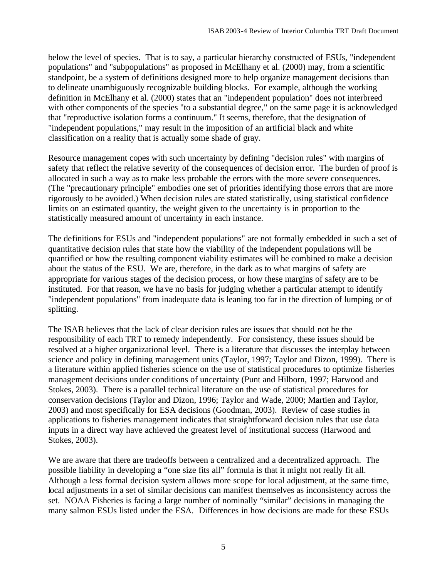below the level of species. That is to say, a particular hierarchy constructed of ESUs, "independent populations" and "subpopulations" as proposed in McElhany et al. (2000) may, from a scientific standpoint, be a system of definitions designed more to help organize management decisions than to delineate unambiguously recognizable building blocks. For example, although the working definition in McElhany et al. (2000) states that an "independent population" does not interbreed with other components of the species "to a substantial degree," on the same page it is acknowledged that "reproductive isolation forms a continuum." It seems, therefore, that the designation of "independent populations," may result in the imposition of an artificial black and white classification on a reality that is actually some shade of gray.

Resource management copes with such uncertainty by defining "decision rules" with margins of safety that reflect the relative severity of the consequences of decision error. The burden of proof is allocated in such a way as to make less probable the errors with the more severe consequences. (The "precautionary principle" embodies one set of priorities identifying those errors that are more rigorously to be avoided.) When decision rules are stated statistically, using statistical confidence limits on an estimated quantity, the weight given to the uncertainty is in proportion to the statistically measured amount of uncertainty in each instance.

The definitions for ESUs and "independent populations" are not formally embedded in such a set of quantitative decision rules that state how the viability of the independent populations will be quantified or how the resulting component viability estimates will be combined to make a decision about the status of the ESU. We are, therefore, in the dark as to what margins of safety are appropriate for various stages of the decision process, or how these margins of safety are to be instituted. For that reason, we have no basis for judging whether a particular attempt to identify "independent populations" from inadequate data is leaning too far in the direction of lumping or of splitting.

The ISAB believes that the lack of clear decision rules are issues that should not be the responsibility of each TRT to remedy independently. For consistency, these issues should be resolved at a higher organizational level. There is a literature that discusses the interplay between science and policy in defining management units (Taylor, 1997; Taylor and Dizon, 1999). There is a literature within applied fisheries science on the use of statistical procedures to optimize fisheries management decisions under conditions of uncertainty (Punt and Hilborn, 1997; Harwood and Stokes, 2003). There is a parallel technical literature on the use of statistical procedures for conservation decisions (Taylor and Dizon, 1996; Taylor and Wade, 2000; Martien and Taylor, 2003) and most specifically for ESA decisions (Goodman, 2003). Review of case studies in applications to fisheries management indicates that straightforward decision rules that use data inputs in a direct way have achieved the greatest level of institutional success (Harwood and Stokes, 2003).

We are aware that there are tradeoffs between a centralized and a decentralized approach. The possible liability in developing a "one size fits all" formula is that it might not really fit all. Although a less formal decision system allows more scope for local adjustment, at the same time, local adjustments in a set of similar decisions can manifest themselves as inconsistency across the set. NOAA Fisheries is facing a large number of nominally "similar" decisions in managing the many salmon ESUs listed under the ESA. Differences in how decisions are made for these ESUs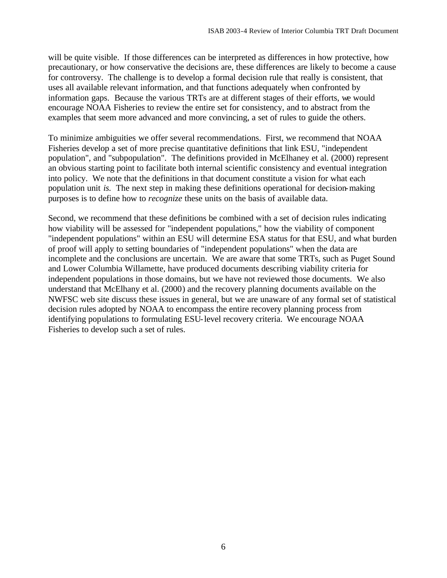will be quite visible. If those differences can be interpreted as differences in how protective, how precautionary, or how conservative the decisions are, these differences are likely to become a cause for controversy. The challenge is to develop a formal decision rule that really is consistent, that uses all available relevant information, and that functions adequately when confronted by information gaps. Because the various TRTs are at different stages of their efforts, we would encourage NOAA Fisheries to review the entire set for consistency, and to abstract from the examples that seem more advanced and more convincing, a set of rules to guide the others.

To minimize ambiguities we offer several recommendations. First, we recommend that NOAA Fisheries develop a set of more precise quantitative definitions that link ESU, "independent population", and "subpopulation". The definitions provided in McElhaney et al. (2000) represent an obvious starting point to facilitate both internal scientific consistency and eventual integration into policy. We note that the definitions in that document constitute a vision for what each population unit *is*. The next step in making these definitions operational for decision-making purposes is to define how to *recognize* these units on the basis of available data.

Second, we recommend that these definitions be combined with a set of decision rules indicating how viability will be assessed for "independent populations," how the viability of component "independent populations" within an ESU will determine ESA status for that ESU, and what burden of proof will apply to setting boundaries of "independent populations" when the data are incomplete and the conclusions are uncertain. We are aware that some TRTs, such as Puget Sound and Lower Columbia Willamette, have produced documents describing viability criteria for independent populations in those domains, but we have not reviewed those documents. We also understand that McElhany et al. (2000) and the recovery planning documents available on the NWFSC web site discuss these issues in general, but we are unaware of any formal set of statistical decision rules adopted by NOAA to encompass the entire recovery planning process from identifying populations to formulating ESU-level recovery criteria. We encourage NOAA Fisheries to develop such a set of rules.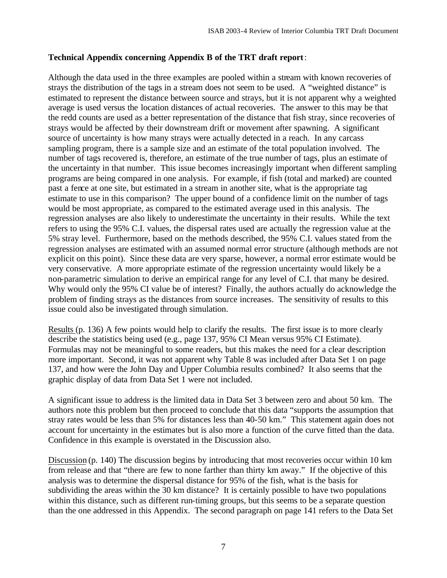#### **Technical Appendix concerning Appendix B of the TRT draft report**:

Although the data used in the three examples are pooled within a stream with known recoveries of strays the distribution of the tags in a stream does not seem to be used. A "weighted distance" is estimated to represent the distance between source and strays, but it is not apparent why a weighted average is used versus the location distances of actual recoveries. The answer to this may be that the redd counts are used as a better representation of the distance that fish stray, since recoveries of strays would be affected by their downstream drift or movement after spawning. A significant source of uncertainty is how many strays were actually detected in a reach. In any carcass sampling program, there is a sample size and an estimate of the total population involved. The number of tags recovered is, therefore, an estimate of the true number of tags, plus an estimate of the uncertainty in that number. This issue becomes increasingly important when different sampling programs are being compared in one analysis. For example, if fish (total and marked) are counted past a fence at one site, but estimated in a stream in another site, what is the appropriate tag estimate to use in this comparison? The upper bound of a confidence limit on the number of tags would be most appropriate, as compared to the estimated average used in this analysis. The regression analyses are also likely to underestimate the uncertainty in their results. While the text refers to using the 95% C.I. values, the dispersal rates used are actually the regression value at the 5% stray level. Furthermore, based on the methods described, the 95% C.I. values stated from the regression analyses are estimated with an assumed normal error structure (although methods are not explicit on this point). Since these data are very sparse, however, a normal error estimate would be very conservative. A more appropriate estimate of the regression uncertainty would likely be a non-parametric simulation to derive an empirical range for any level of C.I. that many be desired. Why would only the 95% CI value be of interest? Finally, the authors actually do acknowledge the problem of finding strays as the distances from source increases. The sensitivity of results to this issue could also be investigated through simulation.

Results (p. 136) A few points would help to clarify the results. The first issue is to more clearly describe the statistics being used (e.g., page 137, 95% CI Mean versus 95% CI Estimate). Formulas may not be meaningful to some readers, but this makes the need for a clear description more important. Second, it was not apparent why Table 8 was included after Data Set 1 on page 137, and how were the John Day and Upper Columbia results combined? It also seems that the graphic display of data from Data Set 1 were not included.

A significant issue to address is the limited data in Data Set 3 between zero and about 50 km. The authors note this problem but then proceed to conclude that this data "supports the assumption that stray rates would be less than 5% for distances less than 40-50 km." This statement again does not account for uncertainty in the estimates but is also more a function of the curve fitted than the data. Confidence in this example is overstated in the Discussion also.

Discussion (p. 140) The discussion begins by introducing that most recoveries occur within 10 km from release and that "there are few to none farther than thirty km away." If the objective of this analysis was to determine the dispersal distance for 95% of the fish, what is the basis for subdividing the areas within the 30 km distance? It is certainly possible to have two populations within this distance, such as different run-timing groups, but this seems to be a separate question than the one addressed in this Appendix. The second paragraph on page 141 refers to the Data Set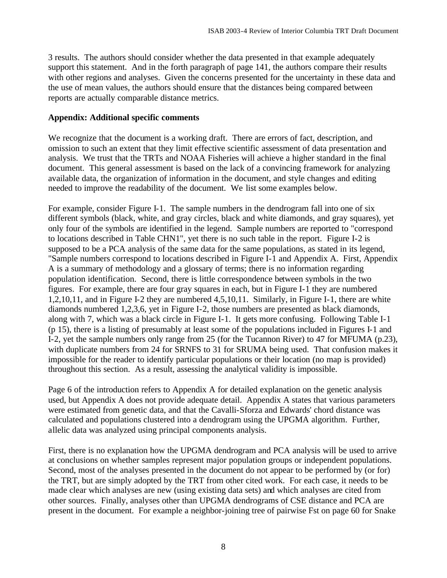3 results. The authors should consider whether the data presented in that example adequately support this statement. And in the forth paragraph of page 141, the authors compare their results with other regions and analyses. Given the concerns presented for the uncertainty in these data and the use of mean values, the authors should ensure that the distances being compared between reports are actually comparable distance metrics.

#### **Appendix: Additional specific comments**

We recognize that the document is a working draft. There are errors of fact, description, and omission to such an extent that they limit effective scientific assessment of data presentation and analysis. We trust that the TRTs and NOAA Fisheries will achieve a higher standard in the final document. This general assessment is based on the lack of a convincing framework for analyzing available data, the organization of information in the document, and style changes and editing needed to improve the readability of the document. We list some examples below.

For example, consider Figure I-1. The sample numbers in the dendrogram fall into one of six different symbols (black, white, and gray circles, black and white diamonds, and gray squares), yet only four of the symbols are identified in the legend. Sample numbers are reported to "correspond to locations described in Table CHN1", yet there is no such table in the report. Figure I-2 is supposed to be a PCA analysis of the same data for the same populations, as stated in its legend, "Sample numbers correspond to locations described in Figure I-1 and Appendix A. First, Appendix A is a summary of methodology and a glossary of terms; there is no information regarding population identification. Second, there is little correspondence between symbols in the two figures. For example, there are four gray squares in each, but in Figure I-1 they are numbered 1,2,10,11, and in Figure I-2 they are numbered 4,5,10,11. Similarly, in Figure I-1, there are white diamonds numbered 1,2,3,6, yet in Figure I-2, those numbers are presented as black diamonds, along with 7, which was a black circle in Figure I-1. It gets more confusing. Following Table I-1 (p 15), there is a listing of presumably at least some of the populations included in Figures I-1 and I-2, yet the sample numbers only range from 25 (for the Tucannon River) to 47 for MFUMA (p.23), with duplicate numbers from 24 for SRNFS to 31 for SRUMA being used. That confusion makes it impossible for the reader to identify particular populations or their location (no map is provided) throughout this section. As a result, assessing the analytical validity is impossible.

Page 6 of the introduction refers to Appendix A for detailed explanation on the genetic analysis used, but Appendix A does not provide adequate detail. Appendix A states that various parameters were estimated from genetic data, and that the Cavalli-Sforza and Edwards' chord distance was calculated and populations clustered into a dendrogram using the UPGMA algorithm. Further, allelic data was analyzed using principal components analysis.

First, there is no explanation how the UPGMA dendrogram and PCA analysis will be used to arrive at conclusions on whether samples represent major population groups or independent populations. Second, most of the analyses presented in the document do not appear to be performed by (or for) the TRT, but are simply adopted by the TRT from other cited work. For each case, it needs to be made clear which analyses are new (using existing data sets) and which analyses are cited from other sources. Finally, analyses other than UPGMA dendrograms of CSE distance and PCA are present in the document. For example a neighbor-joining tree of pairwise Fst on page 60 for Snake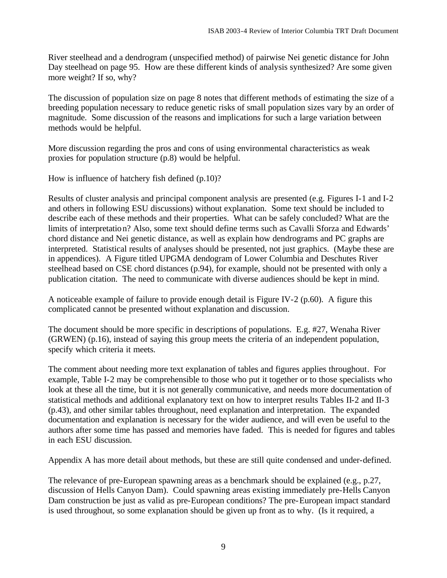River steelhead and a dendrogram (unspecified method) of pairwise Nei genetic distance for John Day steelhead on page 95. How are these different kinds of analysis synthesized? Are some given more weight? If so, why?

The discussion of population size on page 8 notes that different methods of estimating the size of a breeding population necessary to reduce genetic risks of small population sizes vary by an order of magnitude. Some discussion of the reasons and implications for such a large variation between methods would be helpful.

More discussion regarding the pros and cons of using environmental characteristics as weak proxies for population structure (p.8) would be helpful.

How is influence of hatchery fish defined (p.10)?

Results of cluster analysis and principal component analysis are presented (e.g. Figures I-1 and I-2 and others in following ESU discussions) without explanation. Some text should be included to describe each of these methods and their properties. What can be safely concluded? What are the limits of interpretation? Also, some text should define terms such as Cavalli Sforza and Edwards' chord distance and Nei genetic distance, as well as explain how dendrograms and PC graphs are interpreted. Statistical results of analyses should be presented, not just graphics. (Maybe these are in appendices). A Figure titled UPGMA dendogram of Lower Columbia and Deschutes River steelhead based on CSE chord distances (p.94), for example, should not be presented with only a publication citation. The need to communicate with diverse audiences should be kept in mind.

A noticeable example of failure to provide enough detail is Figure IV-2 (p.60). A figure this complicated cannot be presented without explanation and discussion.

The document should be more specific in descriptions of populations. E.g. #27, Wenaha River (GRWEN) (p.16), instead of saying this group meets the criteria of an independent population, specify which criteria it meets.

The comment about needing more text explanation of tables and figures applies throughout. For example, Table I-2 may be comprehensible to those who put it together or to those specialists who look at these all the time, but it is not generally communicative, and needs more documentation of statistical methods and additional explanatory text on how to interpret results Tables II-2 and II-3 (p.43), and other similar tables throughout, need explanation and interpretation. The expanded documentation and explanation is necessary for the wider audience, and will even be useful to the authors after some time has passed and memories have faded. This is needed for figures and tables in each ESU discussion.

Appendix A has more detail about methods, but these are still quite condensed and under-defined.

The relevance of pre-European spawning areas as a benchmark should be explained (e.g., p.27, discussion of Hells Canyon Dam). Could spawning areas existing immediately pre-Hells Canyon Dam construction be just as valid as pre-European conditions? The pre-European impact standard is used throughout, so some explanation should be given up front as to why. (Is it required, a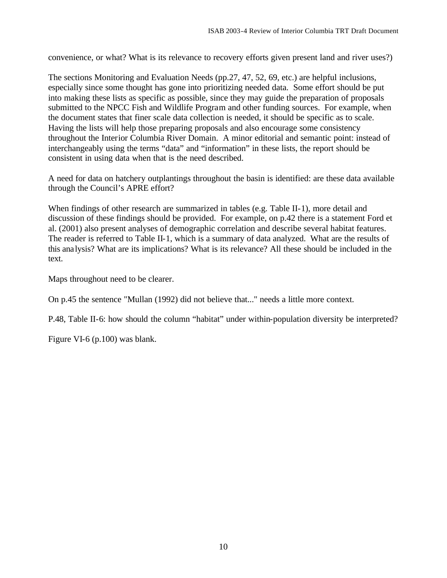convenience, or what? What is its relevance to recovery efforts given present land and river uses?)

The sections Monitoring and Evaluation Needs (pp.27, 47, 52, 69, etc.) are helpful inclusions, especially since some thought has gone into prioritizing needed data. Some effort should be put into making these lists as specific as possible, since they may guide the preparation of proposals submitted to the NPCC Fish and Wildlife Program and other funding sources. For example, when the document states that finer scale data collection is needed, it should be specific as to scale. Having the lists will help those preparing proposals and also encourage some consistency throughout the Interior Columbia River Domain. A minor editorial and semantic point: instead of interchangeably using the terms "data" and "information" in these lists, the report should be consistent in using data when that is the need described.

A need for data on hatchery outplantings throughout the basin is identified: are these data available through the Council's APRE effort?

When findings of other research are summarized in tables (e.g. Table II-1), more detail and discussion of these findings should be provided. For example, on p.42 there is a statement Ford et al. (2001) also present analyses of demographic correlation and describe several habitat features. The reader is referred to Table II-1, which is a summary of data analyzed. What are the results of this analysis? What are its implications? What is its relevance? All these should be included in the text.

Maps throughout need to be clearer.

On p.45 the sentence "Mullan (1992) did not believe that..." needs a little more context.

P.48, Table II-6: how should the column "habitat" under within-population diversity be interpreted?

Figure VI-6 (p.100) was blank.